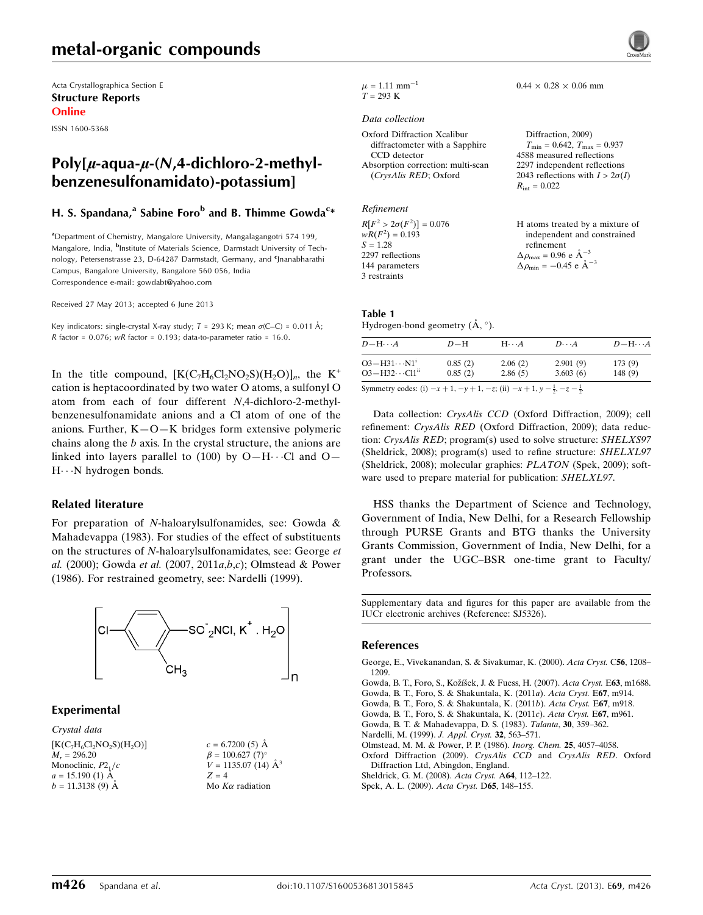# metal-organic compounds

Acta Crystallographica Section E Structure Reports Online

ISSN 1600-5368

# Poly[ $\mu$ -aqua- $\mu$ -(N,4-dichloro-2-methylbenzenesulfonamidato)-potassium]

#### H. S. Spandana,<sup>a</sup> Sabine Foro<sup>b</sup> and B. Thimme Gowda<sup>c</sup>\*

<sup>a</sup>Department of Chemistry, Mangalore University, Mangalagangotri 574 199, Mangalore, India, <sup>b</sup>Institute of Materials Science, Darmstadt University of Technology, Petersenstrasse 23, D-64287 Darmstadt, Germany, and <sup>c</sup>Jnanabharathi Campus, Bangalore University, Bangalore 560 056, India Correspondence e-mail: [gowdabt@yahoo.com](https://scripts.iucr.org/cgi-bin/cr.cgi?rm=pdfbb&cnor=sj5326&bbid=BB11)

Received 27 May 2013; accepted 6 June 2013

Key indicators: single-crystal X-ray study;  $T = 293$  K; mean  $\sigma$ (C–C) = 0.011 Å; R factor =  $0.076$ ; wR factor =  $0.193$ ; data-to-parameter ratio = 16.0.

In the title compound,  $[K(C_7H_6C_2NO_2S)(H_2O)]_n$ , the K<sup>+</sup> cation is heptacoordinated by two water O atoms, a sulfonyl O atom from each of four different N,4-dichloro-2-methylbenzenesulfonamidate anions and a Cl atom of one of the anions. Further, K—O—K bridges form extensive polymeric chains along the b axis. In the crystal structure, the anions are linked into layers parallel to  $(100)$  by O-H $\cdots$ Cl and O-H---N hydrogen bonds.

#### Related literature

For preparation of N-haloarylsulfonamides, see: Gowda & Mahadevappa (1983). For studies of the effect of substituents on the structures of N-haloarylsulfonamidates, see: George et al. (2000); Gowda et al. (2007, 2011a,b,c); Olmstead & Power (1986). For restrained geometry, see: Nardelli (1999).



#### Experimental

Crystal data

 $[K(C_7H_6CI_2NO_2S)(H_2O)]$  $M_r = 296.20$ Monoclinic,  $P2<sub>1</sub>/c$  $a = 15.190(1)$  Å  $b = 11.3138(9)$  Å

 $c = 6.7200(5)$  Å  $\beta = 100.627$  (7)<sup>o</sup>  $V = 1135.07(14)$   $\AA^3$  $Z = 4$ Mo  $K\alpha$  radiation



 $0.44 \times 0.28 \times 0.06$  mm

 $\mu = 1.11$  mm<sup>-1</sup>  $T = 293 \text{ K}$ 

#### Data collection

| <b>Oxford Diffraction Xcalibur</b> | Diffraction, 2009)                               |
|------------------------------------|--------------------------------------------------|
| diffractometer with a Sapphire     | $T_{\text{min}} = 0.642, T_{\text{max}} = 0.937$ |
| CCD detector                       | 4588 measured reflections                        |
| Absorption correction: multi-scan  | 2297 independent reflections                     |
| (CrysAlis RED; Oxford              | 2043 reflections with $I > 2\sigma(I)$           |
|                                    | $R_{\rm int} = 0.022$                            |

Refinement  $R[F^2 > 2\sigma(F^2)] = 0.076$  $wR(F^2) = 0.193$  $S = 1.28$ 2297 reflections 144 parameters 3 restraints H atoms treated by a mixture of independent and constrained refinement  $\Delta \rho_{\text{max}} = 0.96 \text{ e A}^{-3}$  $\Delta \rho_{\rm min} = -0.45 \text{ e } \text{\AA}^{-3}$ 

#### Table 1 Hydrogen-bond geometry  $(\mathring{A}, \degree)$ .

| $D - H \cdots A$           | $D-H$   | $H \cdot \cdot \cdot A$ | $D\cdots A$ | $D$ -H $\cdots$ A |
|----------------------------|---------|-------------------------|-------------|-------------------|
| $O3 - H31 \cdots N1^i$     | 0.85(2) | 2.06(2)                 | 2.901(9)    | 173(9)            |
| $O3 - H32 \cdots Cl1^{ii}$ | 0.85(2) | 2.86(5)                 | 3.603(6)    | 148(9)            |

Data collection: CrysAlis CCD (Oxford Diffraction, 2009); cell refinement: CrysAlis RED (Oxford Diffraction, 2009); data reduction: CrysAlis RED; program(s) used to solve structure: SHELXS97 (Sheldrick, 2008); program(s) used to refine structure: SHELXL97 (Sheldrick, 2008); molecular graphics: PLATON (Spek, 2009); software used to prepare material for publication: SHELXL97.

HSS thanks the Department of Science and Technology, Government of India, New Delhi, for a Research Fellowship through PURSE Grants and BTG thanks the University Grants Commission, Government of India, New Delhi, for a grant under the UGC–BSR one-time grant to Faculty/ Professors.

Supplementary data and figures for this paper are available from the IUCr electronic archives (Reference: SJ5326).

#### References

[George, E., Vivekanandan, S. & Sivakumar, K. \(2000\).](https://scripts.iucr.org/cgi-bin/cr.cgi?rm=pdfbb&cnor=sj5326&bbid=BB1) Acta Cryst. C56, 1208– [1209.](https://scripts.iucr.org/cgi-bin/cr.cgi?rm=pdfbb&cnor=sj5326&bbid=BB1)

Gowda, B. T., Foro, S., Kožíšek, J. & Fuess, H. (2007). Acta Cryst. E63, m1688. [Gowda, B. T., Foro, S. & Shakuntala, K. \(2011](https://scripts.iucr.org/cgi-bin/cr.cgi?rm=pdfbb&cnor=sj5326&bbid=BB3)a). Acta Cryst. E67, m914.

[Gowda, B. T., Foro, S. & Shakuntala, K. \(2011](https://scripts.iucr.org/cgi-bin/cr.cgi?rm=pdfbb&cnor=sj5326&bbid=BB4)b). Acta Cryst. E67, m918.

[Gowda, B. T., Foro, S. & Shakuntala, K. \(2011](https://scripts.iucr.org/cgi-bin/cr.cgi?rm=pdfbb&cnor=sj5326&bbid=BB5)c). Acta Cryst. E67, m961.

[Gowda, B. T. & Mahadevappa, D. S. \(1983\).](https://scripts.iucr.org/cgi-bin/cr.cgi?rm=pdfbb&cnor=sj5326&bbid=BB6) Talanta, 30, 359–362.

[Nardelli, M. \(1999\).](https://scripts.iucr.org/cgi-bin/cr.cgi?rm=pdfbb&cnor=sj5326&bbid=BB7) J. Appl. Cryst. 32, 563–571.

[Olmstead, M. M. & Power, P. P. \(1986\).](https://scripts.iucr.org/cgi-bin/cr.cgi?rm=pdfbb&cnor=sj5326&bbid=BB8) Inorg. Chem. 25, 4057–4058.

[Oxford Diffraction \(2009\).](https://scripts.iucr.org/cgi-bin/cr.cgi?rm=pdfbb&cnor=sj5326&bbid=BB9) CrysAlis CCD and CrysAlis RED. Oxford [Diffraction Ltd, Abingdon, England.](https://scripts.iucr.org/cgi-bin/cr.cgi?rm=pdfbb&cnor=sj5326&bbid=BB9)

[Sheldrick, G. M. \(2008\).](https://scripts.iucr.org/cgi-bin/cr.cgi?rm=pdfbb&cnor=sj5326&bbid=BB10) Acta Cryst. A64, 112–122.

[Spek, A. L. \(2009\).](https://scripts.iucr.org/cgi-bin/cr.cgi?rm=pdfbb&cnor=sj5326&bbid=BB11) Acta Cryst. D65, 148–155.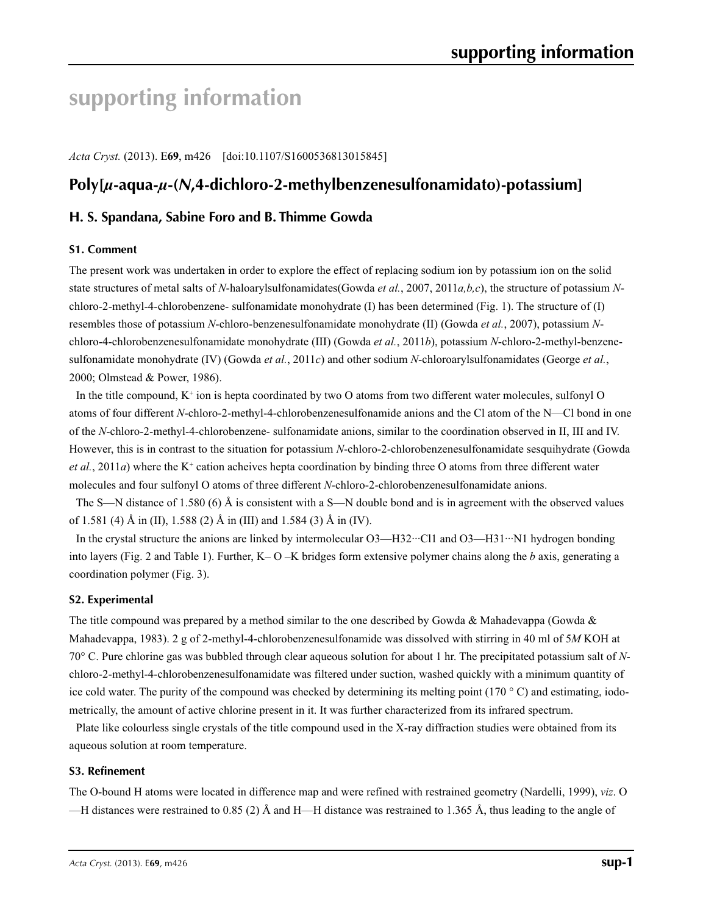# **supporting information**

*Acta Cryst.* (2013). E**69**, m426 [doi:10.1107/S1600536813015845]

# **Poly[***µ***-aqua-***µ***-(***N***,4-dichloro-2-methylbenzenesulfonamidato)-potassium]**

## **H. S. Spandana, Sabine Foro and B. Thimme Gowda**

#### **S1. Comment**

The present work was undertaken in order to explore the effect of replacing sodium ion by potassium ion on the solid state structures of metal salts of *N*-haloarylsulfonamidates(Gowda *et al.*, 2007, 2011*a,b,c*), the structure of potassium *N*chloro-2-methyl-4-chlorobenzene- sulfonamidate monohydrate (I) has been determined (Fig. 1). The structure of (I) resembles those of potassium *N*-chloro-benzenesulfonamidate monohydrate (II) (Gowda *et al.*, 2007), potassium *N*chloro-4-chlorobenzenesulfonamidate monohydrate (III) (Gowda *et al.*, 2011*b*), potassium *N*-chloro-2-methyl-benzenesulfonamidate monohydrate (IV) (Gowda *et al.*, 2011*c*) and other sodium *N*-chloroarylsulfonamidates (George *et al.*, 2000; Olmstead & Power, 1986).

In the title compound,  $K^+$  ion is hepta coordinated by two O atoms from two different water molecules, sulfonyl O atoms of four different *N*-chloro-2-methyl-4-chlorobenzenesulfonamide anions and the Cl atom of the N—Cl bond in one of the *N*-chloro-2-methyl-4-chlorobenzene- sulfonamidate anions, similar to the coordination observed in II, III and IV. However, this is in contrast to the situation for potassium *N*-chloro-2-chlorobenzenesulfonamidate sesquihydrate (Gowda *et al.*, 2011*a*) where the K<sup>+</sup> cation acheives hepta coordination by binding three O atoms from three different water molecules and four sulfonyl O atoms of three different *N*-chloro-2-chlorobenzenesulfonamidate anions.

The S—N distance of 1.580 (6) Å is consistent with a S—N double bond and is in agreement with the observed values of 1.581 (4) Å in (II), 1.588 (2) Å in (III) and 1.584 (3) Å in (IV).

In the crystal structure the anions are linked by intermolecular O3—H32…Cl1 and O3—H31…N1 hydrogen bonding into layers (Fig. 2 and Table 1). Further, K– O –K bridges form extensive polymer chains along the *b* axis, generating a coordination polymer (Fig. 3).

#### **S2. Experimental**

The title compound was prepared by a method similar to the one described by Gowda & Mahadevappa (Gowda & Mahadevappa, 1983). 2 g of 2-methyl-4-chlorobenzenesulfonamide was dissolved with stirring in 40 ml of 5*M* KOH at 70° C. Pure chlorine gas was bubbled through clear aqueous solution for about 1 hr. The precipitated potassium salt of *N*chloro-2-methyl-4-chlorobenzenesulfonamidate was filtered under suction, washed quickly with a minimum quantity of ice cold water. The purity of the compound was checked by determining its melting point ( $170\degree$ C) and estimating, iodometrically, the amount of active chlorine present in it. It was further characterized from its infrared spectrum.

Plate like colourless single crystals of the title compound used in the X-ray diffraction studies were obtained from its aqueous solution at room temperature.

#### **S3. Refinement**

The O-bound H atoms were located in difference map and were refined with restrained geometry (Nardelli, 1999), *viz*. O —H distances were restrained to 0.85 (2) Å and H—H distance was restrained to 1.365 Å, thus leading to the angle of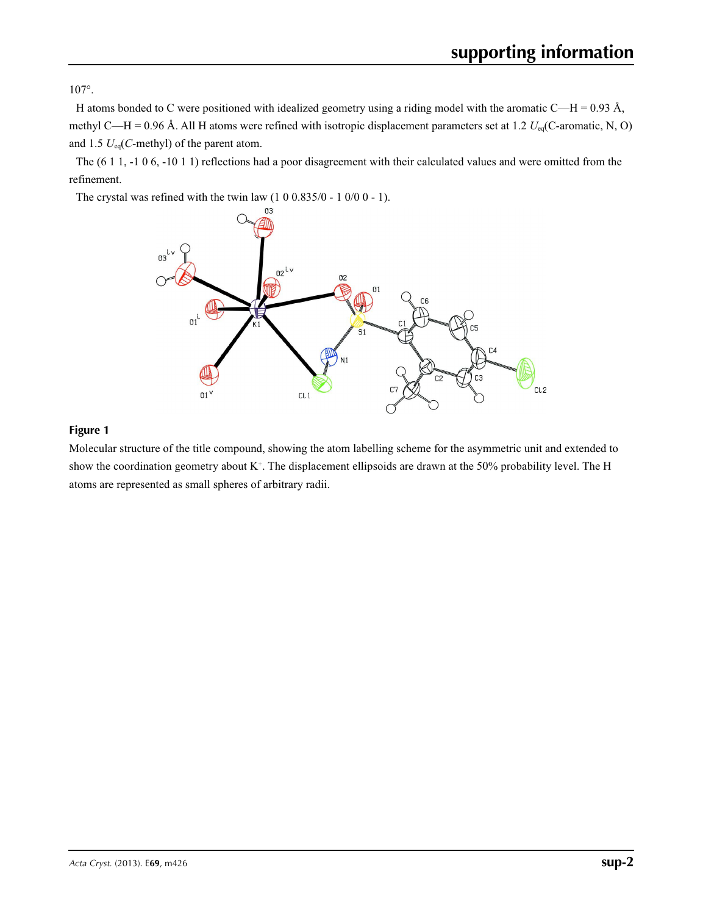107°.

H atoms bonded to C were positioned with idealized geometry using a riding model with the aromatic C—H = 0.93 Å, methyl C—H = 0.96 Å. All H atoms were refined with isotropic displacement parameters set at 1.2 *U*eq(C-aromatic, N, O) and 1.5 *U*eq(*C*-methyl) of the parent atom.

The (6 1 1, -1 0 6, -10 1 1) reflections had a poor disagreement with their calculated values and were omitted from the refinement.

The crystal was refined with the twin law  $(1\ 0\ 0.835/0 - 1\ 0/0\ 0 - 1)$ .



### **Figure 1**

Molecular structure of the title compound, showing the atom labelling scheme for the asymmetric unit and extended to show the coordination geometry about  $K^+$ . The displacement ellipsoids are drawn at the 50% probability level. The H atoms are represented as small spheres of arbitrary radii.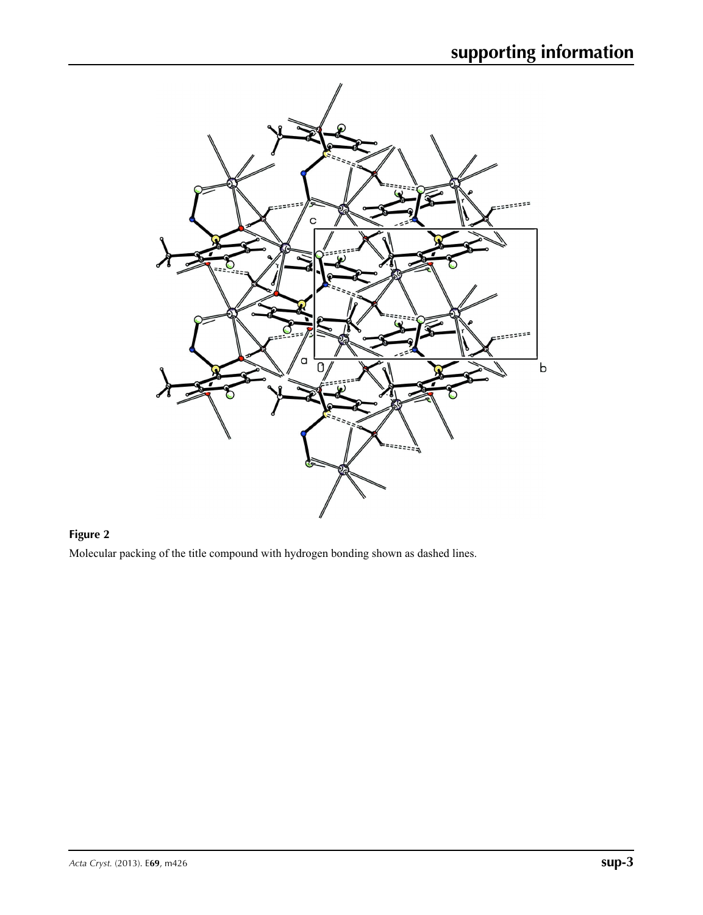

# **Figure 2**

Molecular packing of the title compound with hydrogen bonding shown as dashed lines.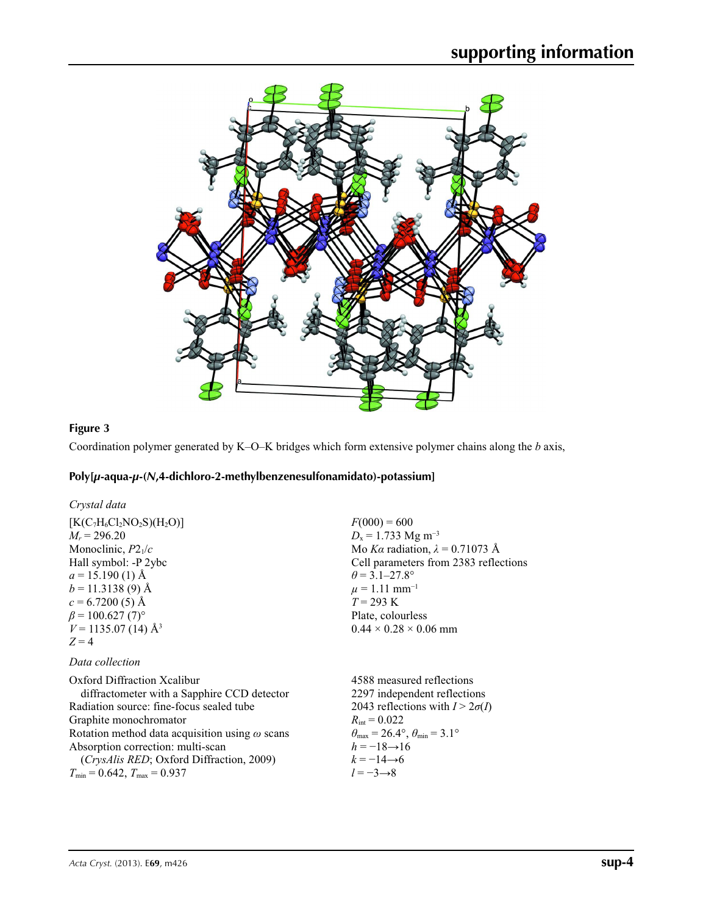

# **Figure 3**

Coordination polymer generated by K–O–K bridges which form extensive polymer chains along the *b* axis,

# **Poly[***µ***-aqua-***µ***-(***N***,4-dichloro-2-methylbenzenesulfonamidato)-potassium]**

| Crystal data |  |
|--------------|--|
|--------------|--|

| $[K(C7H6Cl2NO2S)(H2O)]$<br>$M_r = 296.20$<br>Monoclinic, $P2_1/c$<br>Hall symbol: -P 2ybc<br>$a = 15.190(1)$ Å<br>$b = 11.3138(9)$ Å<br>$c = 6.7200(5)$ Å<br>$\beta$ = 100.627 (7) <sup>o</sup><br>$V = 1135.07(14)$ Å <sup>3</sup><br>$Z=4$                                                                                          | $F(000) = 600$<br>$D_x = 1.733$ Mg m <sup>-3</sup><br>Mo Ka radiation, $\lambda = 0.71073$ Å<br>Cell parameters from 2383 reflections<br>$\theta$ = 3.1–27.8°<br>$\mu$ = 1.11 mm <sup>-1</sup><br>$T = 293 \text{ K}$<br>Plate, colourless<br>$0.44 \times 0.28 \times 0.06$ mm             |
|---------------------------------------------------------------------------------------------------------------------------------------------------------------------------------------------------------------------------------------------------------------------------------------------------------------------------------------|---------------------------------------------------------------------------------------------------------------------------------------------------------------------------------------------------------------------------------------------------------------------------------------------|
| Data collection                                                                                                                                                                                                                                                                                                                       |                                                                                                                                                                                                                                                                                             |
| Oxford Diffraction Xcalibur<br>diffractometer with a Sapphire CCD detector<br>Radiation source: fine-focus sealed tube<br>Graphite monochromator<br>Rotation method data acquisition using $\omega$ scans<br>Absorption correction: multi-scan<br>(CrysAlis RED; Oxford Diffraction, 2009)<br>$T_{\min} = 0.642$ , $T_{\max} = 0.937$ | 4588 measured reflections<br>2297 independent reflections<br>2043 reflections with $I > 2\sigma(I)$<br>$R_{\rm int} = 0.022$<br>$\theta_{\text{max}} = 26.4^{\circ}$ , $\theta_{\text{min}} = 3.1^{\circ}$<br>$h = -18 \rightarrow 16$<br>$k = -14 \rightarrow 6$<br>$l = -3 \rightarrow 8$ |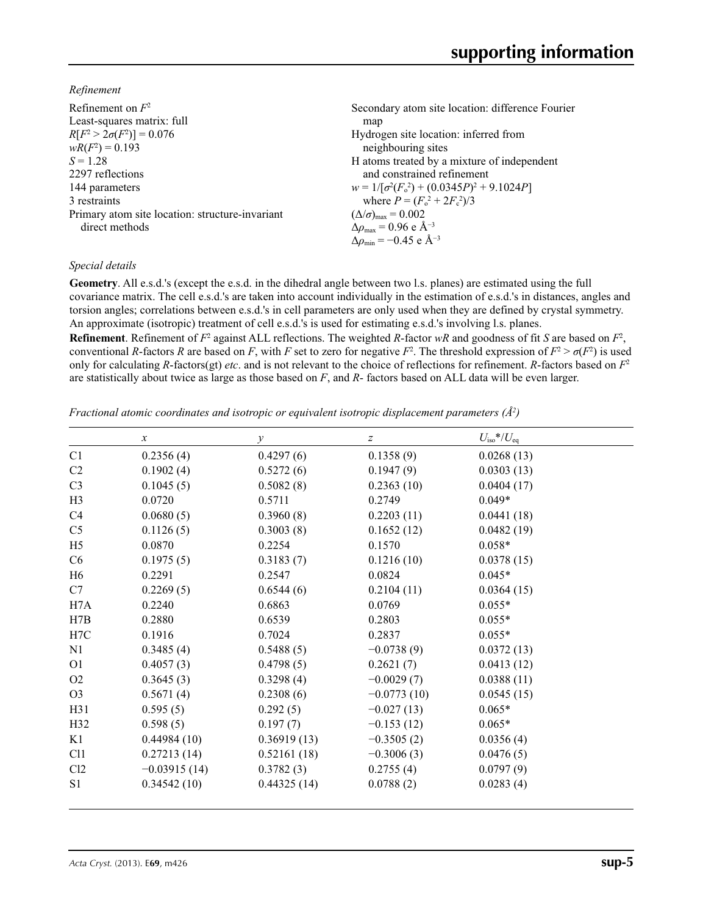*Refinement*

| Refinement on $F^2$                             | Secondary atom site location: difference Fourier  |
|-------------------------------------------------|---------------------------------------------------|
| Least-squares matrix: full                      | map                                               |
| $R[F^2 > 2\sigma(F^2)] = 0.076$                 | Hydrogen site location: inferred from             |
| $wR(F^2) = 0.193$                               | neighbouring sites                                |
| $S = 1.28$                                      | H atoms treated by a mixture of independent       |
| 2297 reflections                                | and constrained refinement                        |
| 144 parameters                                  | $w = 1/[\sigma^2(F_0^2) + (0.0345P)^2 + 9.1024P]$ |
| 3 restraints                                    | where $P = (F_0^2 + 2F_c^2)/3$                    |
| Primary atom site location: structure-invariant | $(\Delta/\sigma)_{\text{max}} = 0.002$            |
| direct methods                                  | $\Delta\rho_{\rm max} = 0.96$ e Å <sup>-3</sup>   |
|                                                 | $\Delta\rho_{\rm min} = -0.45$ e Å <sup>-3</sup>  |

#### *Special details*

**Geometry**. All e.s.d.'s (except the e.s.d. in the dihedral angle between two l.s. planes) are estimated using the full covariance matrix. The cell e.s.d.'s are taken into account individually in the estimation of e.s.d.'s in distances, angles and torsion angles; correlations between e.s.d.'s in cell parameters are only used when they are defined by crystal symmetry. An approximate (isotropic) treatment of cell e.s.d.'s is used for estimating e.s.d.'s involving l.s. planes.

**Refinement**. Refinement of  $F^2$  against ALL reflections. The weighted *R*-factor  $wR$  and goodness of fit *S* are based on  $F^2$ , conventional *R*-factors *R* are based on *F*, with *F* set to zero for negative  $F^2$ . The threshold expression of  $F^2 > \sigma(F^2)$  is used only for calculating *R*-factors(gt) *etc*. and is not relevant to the choice of reflections for refinement. *R*-factors based on *F*<sup>2</sup> are statistically about twice as large as those based on *F*, and *R*- factors based on ALL data will be even larger.

*Fractional atomic coordinates and isotropic or equivalent isotropic displacement parameters (Å<sup>2</sup>)* 

|                 | $\boldsymbol{x}$ | $\mathcal{Y}$ | z             | $U_{\rm iso}*/U_{\rm eq}$ |  |
|-----------------|------------------|---------------|---------------|---------------------------|--|
| C1              | 0.2356(4)        | 0.4297(6)     | 0.1358(9)     | 0.0268(13)                |  |
| C <sub>2</sub>  | 0.1902(4)        | 0.5272(6)     | 0.1947(9)     | 0.0303(13)                |  |
| C <sub>3</sub>  | 0.1045(5)        | 0.5082(8)     | 0.2363(10)    | 0.0404(17)                |  |
| H <sub>3</sub>  | 0.0720           | 0.5711        | 0.2749        | $0.049*$                  |  |
| C <sub>4</sub>  | 0.0680(5)        | 0.3960(8)     | 0.2203(11)    | 0.0441(18)                |  |
| C <sub>5</sub>  | 0.1126(5)        | 0.3003(8)     | 0.1652(12)    | 0.0482(19)                |  |
| H <sub>5</sub>  | 0.0870           | 0.2254        | 0.1570        | $0.058*$                  |  |
| C6              | 0.1975(5)        | 0.3183(7)     | 0.1216(10)    | 0.0378(15)                |  |
| H <sub>6</sub>  | 0.2291           | 0.2547        | 0.0824        | $0.045*$                  |  |
| C7              | 0.2269(5)        | 0.6544(6)     | 0.2104(11)    | 0.0364(15)                |  |
| H7A             | 0.2240           | 0.6863        | 0.0769        | $0.055*$                  |  |
| H7B             | 0.2880           | 0.6539        | 0.2803        | $0.055*$                  |  |
| H7C             | 0.1916           | 0.7024        | 0.2837        | $0.055*$                  |  |
| N1              | 0.3485(4)        | 0.5488(5)     | $-0.0738(9)$  | 0.0372(13)                |  |
| O <sub>1</sub>  | 0.4057(3)        | 0.4798(5)     | 0.2621(7)     | 0.0413(12)                |  |
| O <sub>2</sub>  | 0.3645(3)        | 0.3298(4)     | $-0.0029(7)$  | 0.0388(11)                |  |
| O <sub>3</sub>  | 0.5671(4)        | 0.2308(6)     | $-0.0773(10)$ | 0.0545(15)                |  |
| H31             | 0.595(5)         | 0.292(5)      | $-0.027(13)$  | $0.065*$                  |  |
| H32             | 0.598(5)         | 0.197(7)      | $-0.153(12)$  | $0.065*$                  |  |
| K1              | 0.44984(10)      | 0.36919(13)   | $-0.3505(2)$  | 0.0356(4)                 |  |
| C <sub>11</sub> | 0.27213(14)      | 0.52161(18)   | $-0.3006(3)$  | 0.0476(5)                 |  |
| Cl2             | $-0.03915(14)$   | 0.3782(3)     | 0.2755(4)     | 0.0797(9)                 |  |
| S1              | 0.34542(10)      | 0.44325(14)   | 0.0788(2)     | 0.0283(4)                 |  |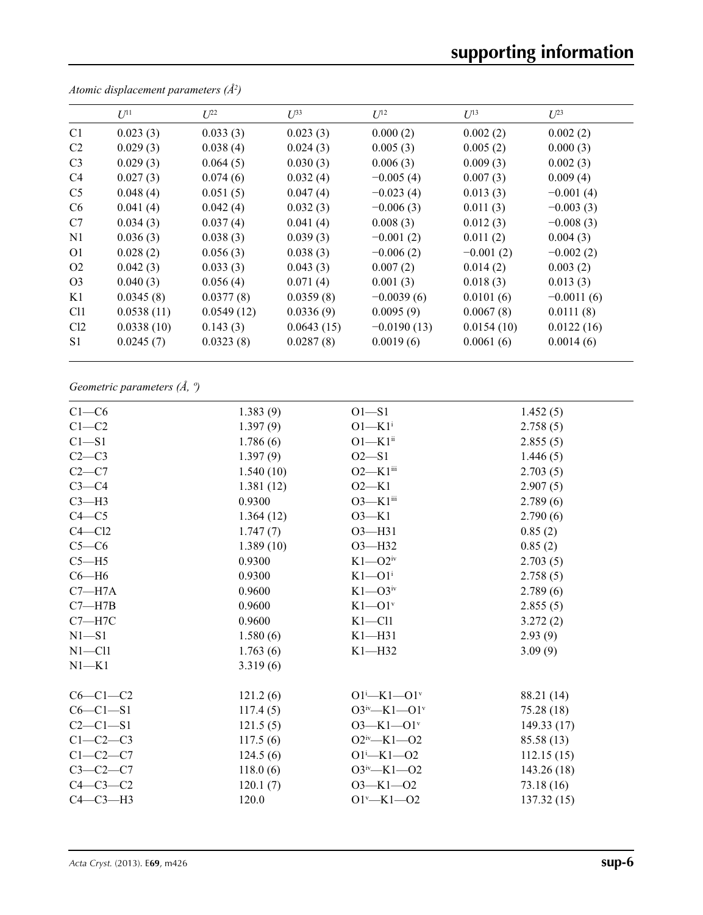|                 | $U^{11}$   | $L^{22}$   | $\mathcal{L}^{\beta 3}$ | $U^{12}$      | $U^{13}$    | $U^{23}$     |
|-----------------|------------|------------|-------------------------|---------------|-------------|--------------|
| C <sub>1</sub>  | 0.023(3)   | 0.033(3)   | 0.023(3)                | 0.000(2)      | 0.002(2)    | 0.002(2)     |
| C <sub>2</sub>  | 0.029(3)   | 0.038(4)   | 0.024(3)                | 0.005(3)      | 0.005(2)    | 0.000(3)     |
| C <sub>3</sub>  | 0.029(3)   | 0.064(5)   | 0.030(3)                | 0.006(3)      | 0.009(3)    | 0.002(3)     |
| C <sub>4</sub>  | 0.027(3)   | 0.074(6)   | 0.032(4)                | $-0.005(4)$   | 0.007(3)    | 0.009(4)     |
| C <sub>5</sub>  | 0.048(4)   | 0.051(5)   | 0.047(4)                | $-0.023(4)$   | 0.013(3)    | $-0.001(4)$  |
| C <sub>6</sub>  | 0.041(4)   | 0.042(4)   | 0.032(3)                | $-0.006(3)$   | 0.011(3)    | $-0.003(3)$  |
| C7              | 0.034(3)   | 0.037(4)   | 0.041(4)                | 0.008(3)      | 0.012(3)    | $-0.008(3)$  |
| N <sub>1</sub>  | 0.036(3)   | 0.038(3)   | 0.039(3)                | $-0.001(2)$   | 0.011(2)    | 0.004(3)     |
| O <sub>1</sub>  | 0.028(2)   | 0.056(3)   | 0.038(3)                | $-0.006(2)$   | $-0.001(2)$ | $-0.002(2)$  |
| O <sub>2</sub>  | 0.042(3)   | 0.033(3)   | 0.043(3)                | 0.007(2)      | 0.014(2)    | 0.003(2)     |
| O <sub>3</sub>  | 0.040(3)   | 0.056(4)   | 0.071(4)                | 0.001(3)      | 0.018(3)    | 0.013(3)     |
| K1              | 0.0345(8)  | 0.0377(8)  | 0.0359(8)               | $-0.0039(6)$  | 0.0101(6)   | $-0.0011(6)$ |
| C <sub>11</sub> | 0.0538(11) | 0.0549(12) | 0.0336(9)               | 0.0095(9)     | 0.0067(8)   | 0.0111(8)    |
| Cl <sub>2</sub> | 0.0338(10) | 0.143(3)   | 0.0643(15)              | $-0.0190(13)$ | 0.0154(10)  | 0.0122(16)   |
| S1              | 0.0245(7)  | 0.0323(8)  | 0.0287(8)               | 0.0019(6)     | 0.0061(6)   | 0.0014(6)    |

*Atomic displacement parameters (Å2 )*

# *Geometric parameters (Å, º)*

| $C1-C6$    | 1.383(9)  | $O1-S1$                     | 1.452(5)    |
|------------|-----------|-----------------------------|-------------|
| $C1-C2$    | 1.397(9)  | $O1-K1$ <sup>i</sup>        | 2.758(5)    |
| $C1 - S1$  | 1.786(6)  | $O1 - K1$ <sup>ii</sup>     | 2.855(5)    |
| $C2-C3$    | 1.397(9)  | $O2 - S1$                   | 1.446(5)    |
| $C2-C7$    | 1.540(10) | $O2-K1$ <sup>iii</sup>      | 2.703(5)    |
| $C3-C4$    | 1.381(12) | $O2-K1$                     | 2.907(5)    |
| $C3-H3$    | 0.9300    | $O3-K1$ <sup>iii</sup>      | 2.789(6)    |
| $C4 - C5$  | 1.364(12) | $O3-K1$                     | 2.790(6)    |
| $C4 - C12$ | 1.747(7)  | O3-H31                      | 0.85(2)     |
| $C5-C6$    | 1.389(10) | $O3 - H32$                  | 0.85(2)     |
| $C5 - H5$  | 0.9300    | $K1 - Q2$ <sup>iv</sup>     | 2.703(5)    |
| $C6 - H6$  | 0.9300    | $K1 - O1$ <sup>i</sup>      | 2.758(5)    |
| $C7 - H7A$ | 0.9600    | $K1 - O3$ iv                | 2.789(6)    |
| $C7 - H7B$ | 0.9600    | $K1 - O1$ <sup>v</sup>      | 2.855(5)    |
| $C7 - H7C$ | 0.9600    | $K1 - Cl1$                  | 3.272(2)    |
| $N1 - S1$  | 1.580(6)  | $K1 - H31$                  | 2.93(9)     |
| $N1 - C11$ | 1.763(6)  | $K1 - H32$                  | 3.09(9)     |
| $N1 - K1$  | 3.319(6)  |                             |             |
| $C6-C1-C2$ | 121.2(6)  | $O1^{i}$ -K1- $O1^{v}$      | 88.21 (14)  |
| $C6-C1-S1$ | 117.4(5)  | $O3^{iv}$ -K1- $O1^v$       | 75.28 (18)  |
| $C2-C1-S1$ | 121.5(5)  | $O3 - K1 - O1$ <sup>v</sup> | 149.33(17)  |
| $C1-C2-C3$ | 117.5(6)  | $O2^{iv}$ -K1- $O2$         | 85.58 (13)  |
| $C1-C2-C7$ | 124.5(6)  | $O1 - K1 - O2$              | 112.15(15)  |
| $C3-C2-C7$ | 118.0(6)  | $O3^{iv}$ -K1- $O2$         | 143.26 (18) |
| $C4-C3-C2$ | 120.1(7)  | $O3 - K1 - O2$              | 73.18(16)   |
| $C4-C3-H3$ | 120.0     | $O1'$ -K1- $O2$             | 137.32(15)  |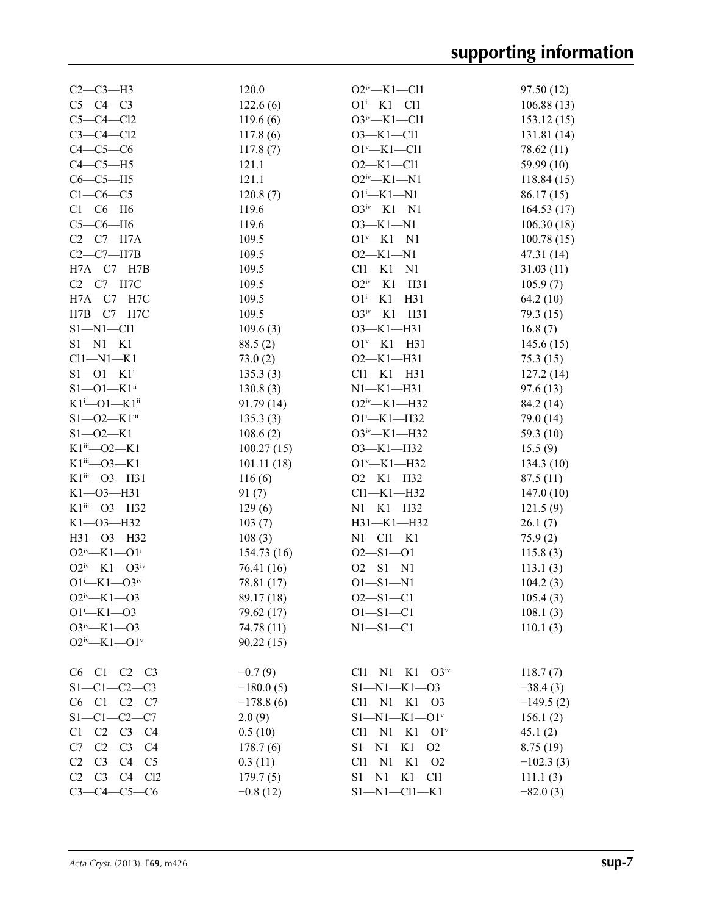| $C2-C3-H3$                    | 120.0       | $O2^{iv}$ -K1-Cl1                | 97.50(12)   |
|-------------------------------|-------------|----------------------------------|-------------|
| $C5-C4-C3$                    | 122.6(6)    | $O1^{i}$ -K1-Cl1                 | 106.88(13)  |
| $C5-C4-C12$                   | 119.6(6)    | $O3^{\text{iv}} - K1 - Cl1$      | 153.12(15)  |
| $C3-C4-C12$                   | 117.8(6)    | $O3 - K1 - Cl1$                  | 131.81 (14) |
| $C4-C5-C6$                    | 117.8(7)    | $O1^v$ -K1-Cl1                   | 78.62 (11)  |
| $C4-C5-H5$                    | 121.1       | $O2 - K1 - Cl1$                  | 59.99 (10)  |
| $C6-C5-H5$                    | 121.1       | $O2^{iv}$ —K1—N1                 | 118.84 (15) |
| $C1-C6-C5$                    | 120.8(7)    | $O1 - K1 - N1$                   | 86.17(15)   |
| $C1-C6-H6$                    | 119.6       | $O3^{iv}$ -K1-N1                 | 164.53(17)  |
| $C5-C6-H6$                    | 119.6       | $O3 - K1 - N1$                   | 106.30(18)  |
| $C2-C7-H7A$                   | 109.5       | $O1^v$ -K1-N1                    | 100.78(15)  |
| $C2-C7-H7B$                   | 109.5       | $O2 - K1 - N1$                   | 47.31 (14)  |
| $H7A - C7 - H7B$              | 109.5       | $Cl1-K1-N1$                      | 31.03(11)   |
| $C2-C7-H7C$                   | 109.5       | $O2^{\rm iv}$ —K1—H31            | 105.9(7)    |
| $H7A-C7-H7C$                  | 109.5       | $O1^i$ -K1-H31                   | 64.2 (10)   |
| $H7B-C7-H7C$                  | 109.5       | $O3^{iv}$ —K1—H31                | 79.3 (15)   |
| $S1 - N1 - C11$               | 109.6(3)    | $O3 - K1 - H31$                  | 16.8(7)     |
| $S1 - N1 - K1$                | 88.5(2)     | $O1^v$ —K1—H31                   | 145.6(15)   |
| $Cl1-M1-K1$                   |             | $O2-K1-H31$                      |             |
| $S1 - 01 - K1$ <sup>i</sup>   | 73.0(2)     | $Cl1-K1-H31$                     | 75.3(15)    |
| $S1 - 01 - K1$ <sup>ii</sup>  | 135.3(3)    | $N1-K1-H31$                      | 127.2(14)   |
|                               | 130.8(3)    |                                  | 97.6(13)    |
| $K1^i$ -O1-K1 <sup>ii</sup>   | 91.79(14)   | O2iv-K1-H32                      | 84.2 (14)   |
| $S1 - 02 - K1$ <sup>iii</sup> | 135.3(3)    | $O1 - K1 - H32$                  | 79.0 (14)   |
| $S1 - 02 - K1$                | 108.6(2)    | $O3^{\text{iv}}$ —K1—H32         | 59.3 (10)   |
| $K1$ <sup>iii</sup> —O2—K1    | 100.27(15)  | O3-K1-H32                        | 15.5(9)     |
| $K1$ <sup>iii</sup> —O3—K1    | 101.11(18)  | $O1^v$ —K1—H32                   | 134.3(10)   |
| $K1$ <sup>iii</sup> —O3—H31   | 116(6)      | $O2 - K1 - H32$                  | 87.5(11)    |
| $K1 - 03 - H31$               | 91(7)       | $Cl1-K1-H32$                     | 147.0(10)   |
| $K1$ <sup>iii</sup> —O3—H32   | 129(6)      | $N1 - K1 - H32$                  | 121.5(9)    |
| $K1 - 03 - H32$               | 103(7)      | $H31 - K1 - H32$                 | 26.1(7)     |
| H31-03-H32                    | 108(3)      | $N1 - C11 - K1$                  | 75.9(2)     |
| $O2^{iv}$ -K1- $O1^i$         | 154.73(16)  | $O2 - S1 - O1$                   | 115.8(3)    |
| $O2^{iv}$ —K1— $O3^{iv}$      | 76.41 (16)  | $O2 - S1 - N1$                   | 113.1(3)    |
| $O1^{i}$ -K1- $O3^{iv}$       | 78.81 (17)  | $O1 - S1 - N1$                   | 104.2(3)    |
| $O2^{iv}$ —K1—O3              | 89.17 (18)  | $O2 - S1 - C1$                   | 105.4(3)    |
| $O1 - K1 - O3$                | 79.62 (17)  | $O1 - S1 - C1$                   | 108.1(3)    |
| $O3^{iv}$ -K1- $O3$           | 74.78 (11)  | $N1 - S1 - C1$                   | 110.1(3)    |
| $O2^{iv}$ —K1—O1 <sup>v</sup> | 90.22(15)   |                                  |             |
| $C6-C1-C2-C3$                 | $-0.7(9)$   | $Cl1 - N1 - K1 - O3$ iv          | 118.7(7)    |
| $S1-C1-C2-C3$                 | $-180.0(5)$ | $S1 - N1 - K1 - 03$              | $-38.4(3)$  |
| $C6 - C1 - C2 - C7$           | $-178.8(6)$ | $Cl1 - N1 - K1 - 03$             | $-149.5(2)$ |
| $S1-C1-C2-C7$                 | 2.0(9)      | $S1 - N1 - K1 - O1$ <sup>v</sup> | 156.1(2)    |
| $C1 - C2 - C3 - C4$           | 0.5(10)     | $Cl1-M1-K1-O1v$                  | 45.1(2)     |
| $C7 - C2 - C3 - C4$           | 178.7(6)    | $S1 - N1 - K1 - 02$              | 8.75(19)    |
| $C2 - C3 - C4 - C5$           | 0.3(11)     | $Cl1 - N1 - K1 - O2$             | $-102.3(3)$ |
| $C2-C3-C4-C12$                | 179.7(5)    | $S1 - N1 - K1 - C11$             | 111.1(3)    |
| $C3 - C4 - C5 - C6$           | $-0.8(12)$  | $S1 - N1 - C11 - K1$             | $-82.0(3)$  |